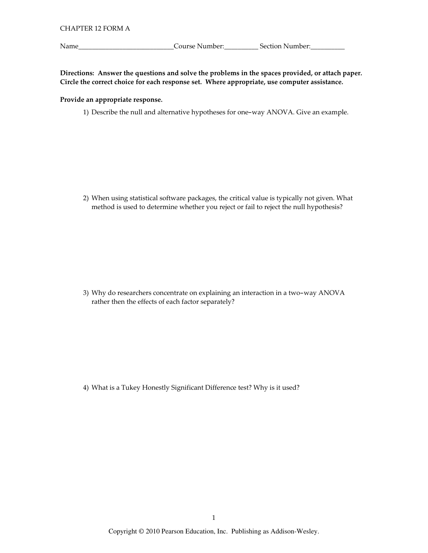Name\_

Course Number: Section Number:

Directions: Answer the questions and solve the problems in the spaces provided, or attach paper. Circle the correct choice for each response set. Where appropriate, use computer assistance.

## Provide an appropriate response.

1) Describe the null and alternative hypotheses for one-way ANOVA. Give an example.

2) When using statistical software packages, the critical value is typically not given. What method is used to determine whether you reject or fail to reject the null hypothesis?

3) Why do researchers concentrate on explaining an interaction in a two-way ANOVA rather then the effects of each factor separately?

4) What is a Tukey Honestly Significant Difference test? Why is it used?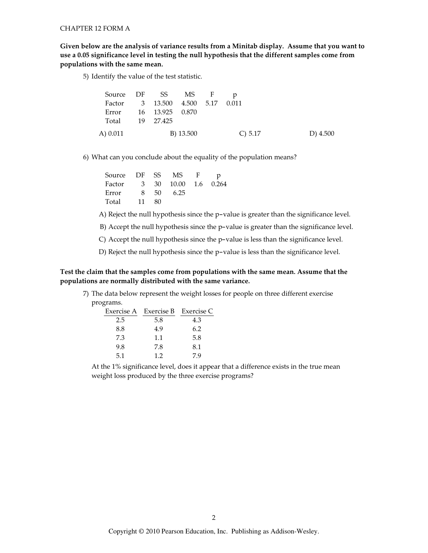Given below are the analysis of variance results from a Minitab display. Assume that you want to use a 0.05 significance level in testing the null hypothesis that the different samples come from populations with the same mean.

5) Identify the value of the test statistic.

| Source DF SS MS F                |  |           |           |          |
|----------------------------------|--|-----------|-----------|----------|
| Factor 3 13.500 4.500 5.17 0.011 |  |           |           |          |
| Error 16 13.925 0.870            |  |           |           |          |
| Total 19 27.425                  |  |           |           |          |
| A) 0.011                         |  | B) 13.500 | C) $5.17$ | D) 4.500 |

6) What can you conclude about the equality of the population means?

| Source DF SS |    |    | MS.                  | $\mathbf{F}$ | p |
|--------------|----|----|----------------------|--------------|---|
| Factor       |    |    | 3 30 10.00 1.6 0.264 |              |   |
| Error        | 8  | 50 | 6.25                 |              |   |
| Total        | 11 | 80 |                      |              |   |

A) Reject the null hypothesis since the p-value is greater than the significance level.

B) Accept the null hypothesis since the p-value is greater than the significance level.

C) Accept the null hypothesis since the p-value is less than the significance level.

D) Reject the null hypothesis since the p-value is less than the significance level.

## Test the claim that the samples come from populations with the same mean. Assume that the populations are normally distributed with the same variance.

7) The data below represent the weight losses for people on three different exercise programs.

|     | Exercise A Exercise B Exercise C |     |
|-----|----------------------------------|-----|
| 2.5 | 5.8                              | 4.3 |
| 8.8 | 4.9                              | 6.2 |
| 7.3 | 1.1                              | 5.8 |
| 9.8 | 7.8                              | 8.1 |
| 5.1 | 1.2                              | 79  |

At the 1% significance level, does it appear that a difference exists in the true mean weight loss produced by the three exercise programs?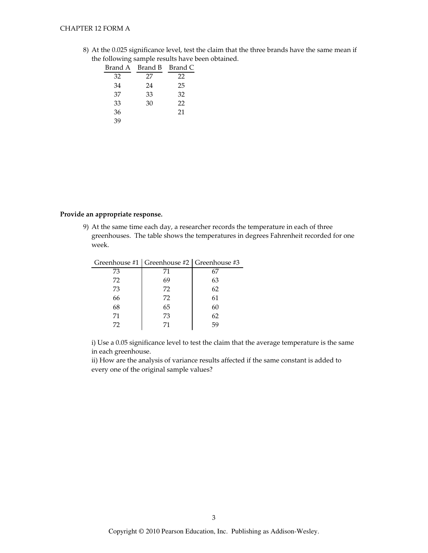## **CHAPTER 12 FORM A**

8) At the 0.025 significance level, test the claim that the three brands have the same mean if the following sample results have been obtained.

|    | Brand A Brand B | Brand C |
|----|-----------------|---------|
| 32 | 27              | 22      |
| 34 | 24              | 25      |
| 37 | 33              | 32      |
| 33 | 30              | 22      |
| 36 |                 | 21      |
| 39 |                 |         |

### Provide an appropriate response.

 $\overline{a}$ 

9) At the same time each day, a researcher records the temperature in each of three greenhouses. The table shows the temperatures in degrees Fahrenheit recorded for one week.

| Greenhouse #1   Greenhouse #2   Greenhouse #3 |    |
|-----------------------------------------------|----|
| 71                                            | 67 |
| 69                                            | 63 |
| 72                                            | 62 |
| 72                                            | 61 |
| 65                                            | 60 |
| 73                                            | 62 |
| 71                                            | 59 |
|                                               |    |

i) Use a 0.05 significance level to test the claim that the average temperature is the same in each greenhouse.

ii) How are the analysis of variance results affected if the same constant is added to every one of the original sample values?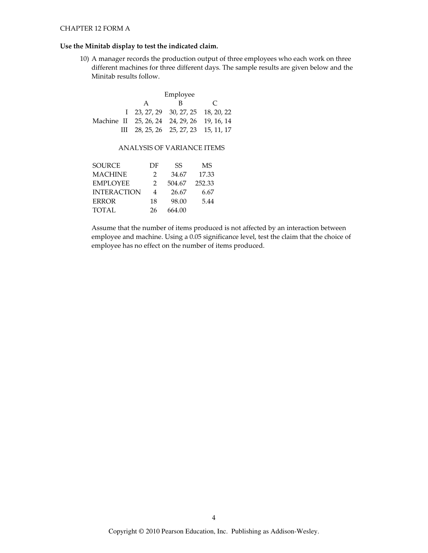## Use the Minitab display to test the indicated claim.

10) A manager records the production output of three employees who each work on three different machines for three different days. The sample results are given below and the Minitab results follow.

|                                             | Employee |                                                     |  |  |  |  |
|---------------------------------------------|----------|-----------------------------------------------------|--|--|--|--|
|                                             | A        | R                                                   |  |  |  |  |
|                                             |          | $1\quad 23, 27, 29\quad 30, 27, 25\quad 18, 20, 22$ |  |  |  |  |
| Machine II 25, 26, 24 24, 29, 26 19, 16, 14 |          |                                                     |  |  |  |  |
|                                             |          | III 28, 25, 26 25, 27, 23 15, 11, 17                |  |  |  |  |

## ANALYSIS OF VARIANCE ITEMS

| SOURCE             | DF            | SS     | MS     |
|--------------------|---------------|--------|--------|
| MACHINE            | $\mathcal{P}$ | 34.67  | 17.33  |
| <b>EMPLOYEE</b>    | 2             | 504.67 | 252.33 |
| <b>INTERACTION</b> | 4             | 26.67  | 6.67   |
| ERROR              | 18            | 98.00  | 5.44   |
| TOTAL              | 26            | 664.00 |        |

Assume that the number of items produced is not affected by an interaction between employee and machine. Using a 0.05 significance level, test the claim that the choice of employee has no effect on the number of items produced.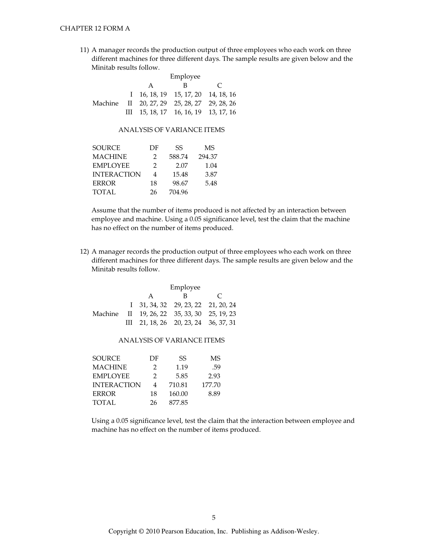11) A manager records the production output of three employees who each work on three different machines for three different days. The sample results are given below and the Minitab results follow.

|  | Employee |                                                        |               |  |
|--|----------|--------------------------------------------------------|---------------|--|
|  | A        | в                                                      | $\mathcal{C}$ |  |
|  |          | $1 \quad 16, 18, 19 \quad 15, 17, 20 \quad 14, 18, 16$ |               |  |
|  |          | Machine II 20, 27, 29 25, 28, 27 29, 28, 26            |               |  |
|  |          | III $15, 18, 17$ 16, 16, 19 13, 17, 16                 |               |  |

#### ANALYSIS OF VARIANCE ITEMS

| SOURCE             | DF            | SS     | MS     |
|--------------------|---------------|--------|--------|
| <b>MACHINE</b>     | $\mathcal{P}$ | 588.74 | 294.37 |
| <b>EMPLOYEE</b>    | $\mathcal{P}$ | 2.07   | 1.04   |
| <b>INTERACTION</b> | 4             | 15.48  | 3.87   |
| <b>ERROR</b>       | 18            | 98.67  | 5.48   |
| <b>TOTAL</b>       | 26            | 704.96 |        |

Assume that the number of items produced is not affected by an interaction between employee and machine. Using a 0.05 significance level, test the claim that the machine has no effect on the number of items produced.

12) A manager records the production output of three employees who each work on three different machines for three different days. The sample results are given below and the Minitab results follow.

|  | Employee |                                                     |               |  |
|--|----------|-----------------------------------------------------|---------------|--|
|  | A        | в                                                   | $\mathcal{C}$ |  |
|  |          | $1\quad 31, 34, 32\quad 29, 23, 22\quad 21, 20, 24$ |               |  |
|  |          | Machine II 19, 26, 22 35, 33, 30 25, 19, 23         |               |  |
|  |          | III 21, 18, 26 20, 23, 24 36, 37, 31                |               |  |

#### ANALYSIS OF VARIANCE ITEMS

| <b>SOURCE</b>      | DF | SS     | MS     |
|--------------------|----|--------|--------|
| <b>MACHINE</b>     | 2  | 1.19   | .59    |
| <b>EMPLOYEE</b>    | 2  | 5.85   | 2.93   |
| <b>INTERACTION</b> | 4  | 710.81 | 177.70 |
| <b>ERROR</b>       | 18 | 160.00 | 8.89   |
| <b>TOTAL</b>       | 26 | 877.85 |        |

Using a 0.05 significance level, test the claim that the interaction between employee and machine has no effect on the number of items produced.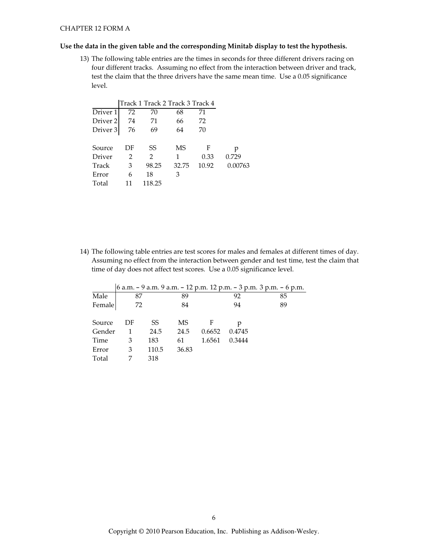### Use the data in the given table and the corresponding Minitab display to test the hypothesis.

13) The following table entries are the times in seconds for three different drivers racing on four different tracks. Assuming no effect from the interaction between driver and track, test the claim that the three drivers have the same mean time. Use a 0.05 significance level.

|                     |    | Track 1 Track 2 Track 3 Track 4 |       |       |         |
|---------------------|----|---------------------------------|-------|-------|---------|
| Driver 1            | 72 | 70                              | 68    | 71    |         |
| Driver <sub>2</sub> | 74 | 71                              | 66    | 72    |         |
| Driver <sub>3</sub> | 76 | 69                              | 64    | 70    |         |
|                     |    |                                 |       |       |         |
| Source              | DF | SS                              | MS    | F     | р       |
| Driver              | 2  | $\mathcal{L}$                   | 1     | 0.33  | 0.729   |
| Track               | 3  | 98.25                           | 32.75 | 10.92 | 0.00763 |
| Error               | 6  | 18                              | 3     |       |         |
| Total               | 11 | 118.25                          |       |       |         |

14) The following table entries are test scores for males and females at different times of day. Assuming no effect from the interaction between gender and test time, test the claim that time of day does not affect test scores. Use a 0.05 significance level.

|        |    |       |       |        |        | 6 a.m. - 9 a.m. 9 a.m. - 12 p.m. 12 p.m. - 3 p.m. 3 p.m. - 6 p.m. |
|--------|----|-------|-------|--------|--------|-------------------------------------------------------------------|
| Male   | 87 |       | 89    |        | 92     | 85                                                                |
| Female | 72 |       | 84    |        | 94     | 89                                                                |
| Source | DF | SS    | MS    | F      |        |                                                                   |
| Gender | 1  | 24.5  | 24.5  | 0.6652 | 0.4745 |                                                                   |
| Time   | 3  | 183   | 61    | 1.6561 | 0.3444 |                                                                   |
| Error  | 3  | 110.5 | 36.83 |        |        |                                                                   |
| Total  |    | 318   |       |        |        |                                                                   |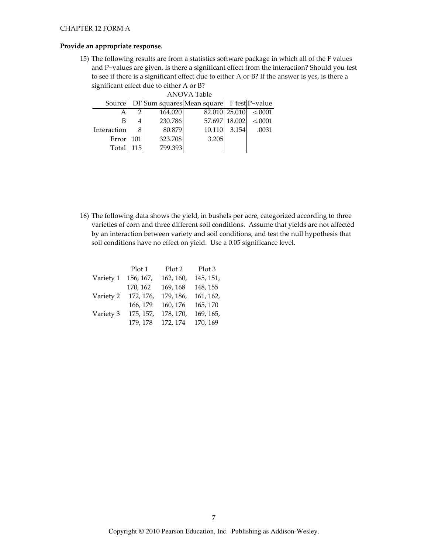### Provide an appropriate response.

15) The following results are from a statistics software package in which all of the F values and P-values are given. Is there a significant effect from the interaction? Should you test to see if there is a significant effect due to either A or B? If the answer is yes, is there a significant effect due to either A or B?

| ANOVA Table |  |                   |                                                    |                                                                                                      |
|-------------|--|-------------------|----------------------------------------------------|------------------------------------------------------------------------------------------------------|
|             |  |                   |                                                    |                                                                                                      |
|             |  |                   |                                                    | < 0.001                                                                                              |
|             |  |                   |                                                    | < .0001                                                                                              |
|             |  | 10.110            |                                                    | .0031                                                                                                |
| Error       |  |                   |                                                    |                                                                                                      |
|             |  |                   |                                                    |                                                                                                      |
|             |  | 101<br><b>115</b> | 164.020<br>230.786<br>80.879<br>323.708<br>799.393 | Source DF Sum squares Mean square F test P-value<br>82.010 25.010<br>57.697 18.002<br>3.154<br>3.205 |

16) The following data shows the yield, in bushels per acre, categorized according to three varieties of corn and three different soil conditions. Assume that yields are not affected by an interaction between variety and soil conditions, and test the null hypothesis that soil conditions have no effect on yield. Use a 0.05 significance level.

|           | Plot 1    | Plot 2    | Plot 3    |
|-----------|-----------|-----------|-----------|
| Variety 1 | 156, 167, | 162, 160, | 145, 151, |
|           | 170, 162  | 169, 168  | 148, 155  |
| Variety 2 | 172, 176, | 179, 186, | 161, 162, |
|           | 166, 179  | 160, 176  | 165, 170  |
| Variety 3 | 175, 157, | 178, 170, | 169, 165, |
|           | 179, 178  | 172, 174  | 170, 169  |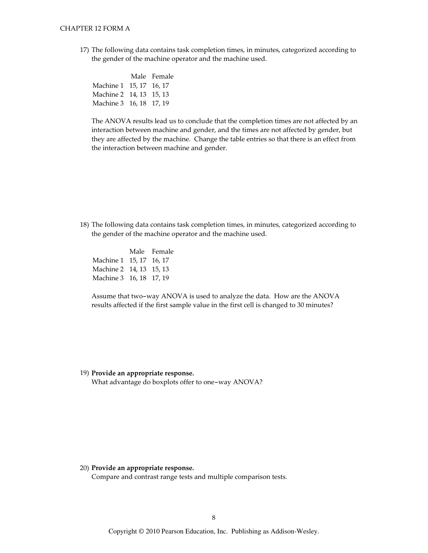17) The following data contains task completion times, in minutes, categorized according to the gender of the machine operator and the machine used.

|                         | Male Female |
|-------------------------|-------------|
| Machine 1 15, 17 16, 17 |             |
| Machine 2 14, 13 15, 13 |             |
| Machine 3 16, 18 17, 19 |             |

The ANOVA results lead us to conclude that the completion times are not affected by an interaction between machine and gender, and the times are not affected by gender, but they are affected by the machine. Change the table entries so that there is an effect from the interaction between machine and gender.

18) The following data contains task completion times, in minutes, categorized according to the gender of the machine operator and the machine used.

|                         | Male Female |
|-------------------------|-------------|
| Machine 1 15, 17 16, 17 |             |
| Machine 2 14, 13 15, 13 |             |
| Machine 3 16, 18 17, 19 |             |

Assume that two-way ANOVA is used to analyze the data. How are the ANOVA results affected if the first sample value in the first cell is changed to 30 minutes?

19) Provide an appropriate response. What advantage do boxplots offer to one-way ANOVA?

20) Provide an appropriate response.

Compare and contrast range tests and multiple comparison tests.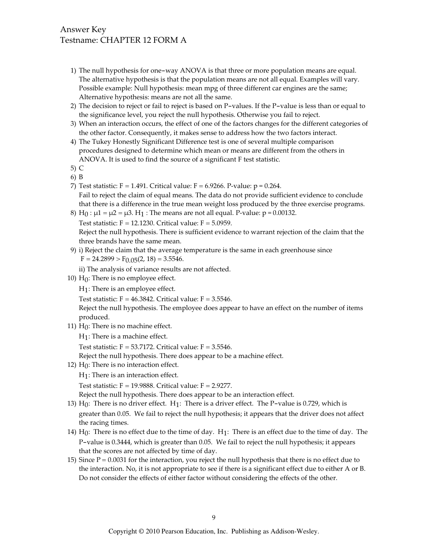# Answer Key Testname: CHAPTER 12 FORM A

- 1) The null hypothesis for one-way ANOVA is that three or more population means are equal. The alternative hypothesis is that the population means are not all equal. Examples will vary. Possible example: Null hypothesis: mean mpg of three different car engines are the same; Alternative hypothesis: means are not all the same.
- 2) The decision to reject or fail to reject is based on P-values. If the P-value is less than or equal to the significance level, you reject the null hypothesis. Otherwise you fail to reject.
- 3) When an interaction occurs, the effect of one of the factors changes for the different categories of the other factor. Consequently, it makes sense to address how the two factors interact.
- 4) The Tukey Honestly Significant Difference test is one of several multiple comparison procedures designed to determine which mean or means are different from the others in ANOVA. It is used to find the source of a significant F test statistic.
- 5) C
- 6) B
- 7) Test statistic:  $F = 1.491$ . Critical value:  $F = 6.9266$ . P-value:  $p = 0.264$ . Fail to reject the claim of equal means. The data do not provide sufficient evidence to conclude that there is a difference in the true mean weight loss produced by the three exercise programs.
- 8) H<sub>0</sub> :  $\mu$ 1 =  $\mu$ 2 =  $\mu$ 3. H<sub>1</sub> : The means are not all equal. P-value: p = 0.00132.

Test statistic:  $F = 12.1230$ . Critical value:  $F = 5.0959$ .

Reject the null hypothesis. There is sufficient evidence to warrant rejection of the claim that the three brands have the same mean.

9) i) Reject the claim that the average temperature is the same in each greenhouse since  $F = 24.2899 > F_{0.05}(2, 18) = 3.5546.$ 

ii) The analysis of variance results are not affected.

10)  $H_0$ : There is no employee effect.

 $H_1$ : There is an employee effect.

Test statistic:  $F = 46.3842$ . Critical value:  $F = 3.5546$ .

Reject the null hypothesis. The employee does appear to have an effect on the number of items produced.

11)  $H_0$ : There is no machine effect.

 $H_1$ : There is a machine effect.

Test statistic:  $F = 53.7172$ . Critical value:  $F = 3.5546$ .

Reject the null hypothesis. There does appear to be a machine effect.

12)  $H_0$ : There is no interaction effect.

 $H_1$ : There is an interaction effect.

Test statistic:  $F = 19.9888$ . Critical value:  $F = 2.9277$ .

Reject the null hypothesis. There does appear to be an interaction effect.

- 13) H<sub>0</sub>: There is no driver effect. H<sub>1</sub>: There is a driver effect. The P-value is 0.729, which is greater than 0.05. We fail to reject the null hypothesis; it appears that the driver does not affect the racing times.
- 14)  $H_0$ : There is no effect due to the time of day.  $H_1$ : There is an effect due to the time of day. The P-value is 0.3444, which is greater than 0.05. We fail to reject the null hypothesis; it appears that the scores are not affected by time of day.
- 15) Since  $P = 0.0031$  for the interaction, you reject the null hypothesis that there is no effect due to the interaction. No, it is not appropriate to see if there is a significant effect due to either A or B. Do not consider the effects of either factor without considering the effects of the other.